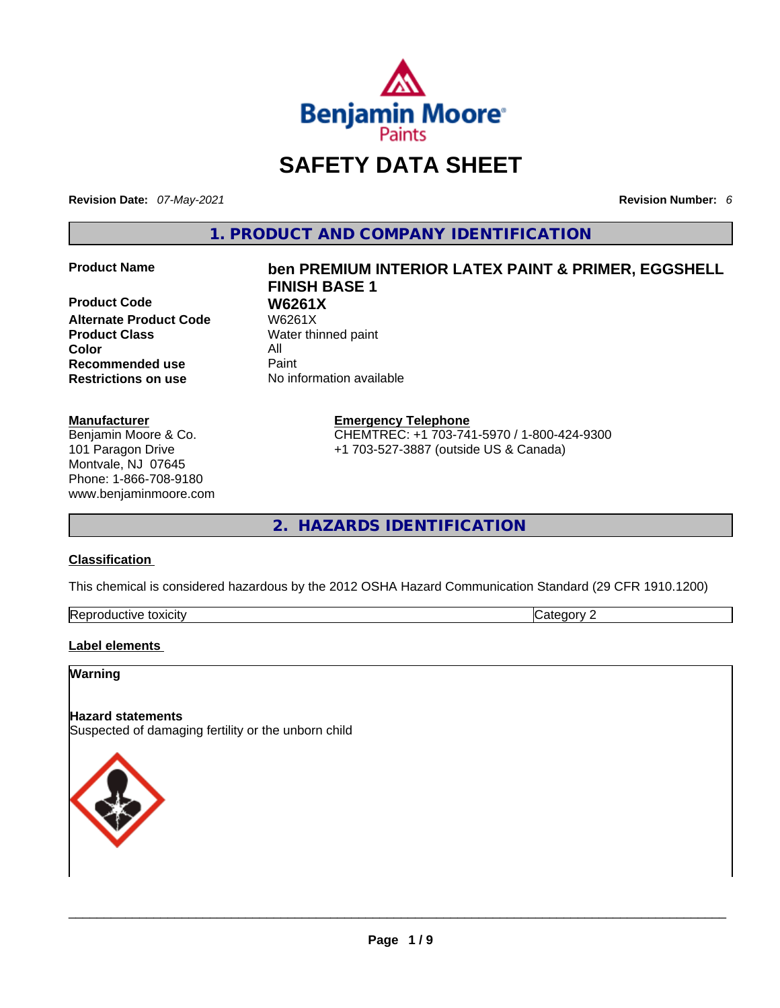

# **SAFETY DATA SHEET**

**Revision Date:** *07-May-2021* **Revision Number:** *6*

**1. PRODUCT AND COMPANY IDENTIFICATION** 

**Product Code W6261X Alternate Product Code** W6261X **Product Class Water thinned paint Color** All<br> **Recommended use** Paint **Recommended use**<br>**Restrictions on use** 

#### **Manufacturer**

Benjamin Moore & Co. 101 Paragon Drive Montvale, NJ 07645 Phone: 1-866-708-9180 www.benjaminmoore.com

# **Product Name ben PREMIUM INTERIOR LATEX PAINT & PRIMER, EGGSHELL FINISH BASE 1**

**Restrictions on use** No information available

**Emergency Telephone** CHEMTREC: +1 703-741-5970 / 1-800-424-9300

+1 703-527-3887 (outside US & Canada)

**2. HAZARDS IDENTIFICATION** 

### **Classification**

This chemical is considered hazardous by the 2012 OSHA Hazard Communication Standard (29 CFR 1910.1200)

| Repi<br>.oxicit\<br>r I V f<br>. 11 16 1 | - - - |
|------------------------------------------|-------|

#### **Label elements**

#### **Warning**

#### **Hazard statements**

Suspected of damaging fertility or the unborn child

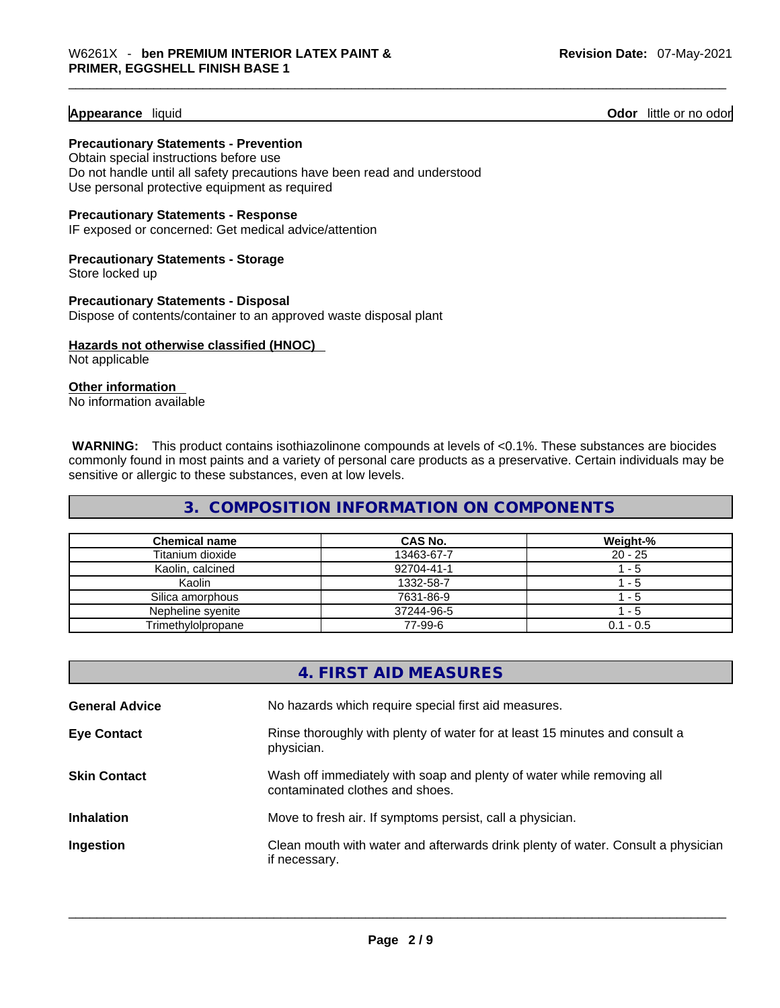**Appearance** liquid **Contract Contract Contract Contract Contract Contract Contract Contract Contract Contract Contract Contract Contract Contract Contract Contract Contract Contract Contract Contract Contract Contract Con** 

**Precautionary Statements - Prevention** Obtain special instructions before use

Do not handle until all safety precautions have been read and understood Use personal protective equipment as required

#### **Precautionary Statements - Response**

IF exposed or concerned: Get medical advice/attention

#### **Precautionary Statements - Storage** Store locked up

**Precautionary Statements - Disposal** Dispose of contents/container to an approved waste disposal plant

# **Hazards not otherwise classified (HNOC)**

Not applicable

#### **Other information**

No information available

 **WARNING:** This product contains isothiazolinone compounds at levels of <0.1%. These substances are biocides commonly found in most paints and a variety of personal care products as a preservative. Certain individuals may be sensitive or allergic to these substances, even at low levels.

# **3. COMPOSITION INFORMATION ON COMPONENTS**

| <b>Chemical name</b> | <b>CAS No.</b> | Weight-%    |
|----------------------|----------------|-------------|
| Titanium dioxide     | 13463-67-7     | $20 - 25$   |
| Kaolin, calcined     | 92704-41-1     | - 5         |
| Kaolin               | 1332-58-7      | $-5$        |
| Silica amorphous     | 7631-86-9      | - 5         |
| Nepheline svenite    | 37244-96-5     | - 5         |
| Trimethylolpropane   | 77-99-6        | $0.1 - 0.5$ |

|                       | 4. FIRST AID MEASURES                                                                                    |
|-----------------------|----------------------------------------------------------------------------------------------------------|
| <b>General Advice</b> | No hazards which require special first aid measures.                                                     |
| <b>Eye Contact</b>    | Rinse thoroughly with plenty of water for at least 15 minutes and consult a<br>physician.                |
| <b>Skin Contact</b>   | Wash off immediately with soap and plenty of water while removing all<br>contaminated clothes and shoes. |
| <b>Inhalation</b>     | Move to fresh air. If symptoms persist, call a physician.                                                |
| Ingestion             | Clean mouth with water and afterwards drink plenty of water. Consult a physician<br>if necessary.        |
|                       |                                                                                                          |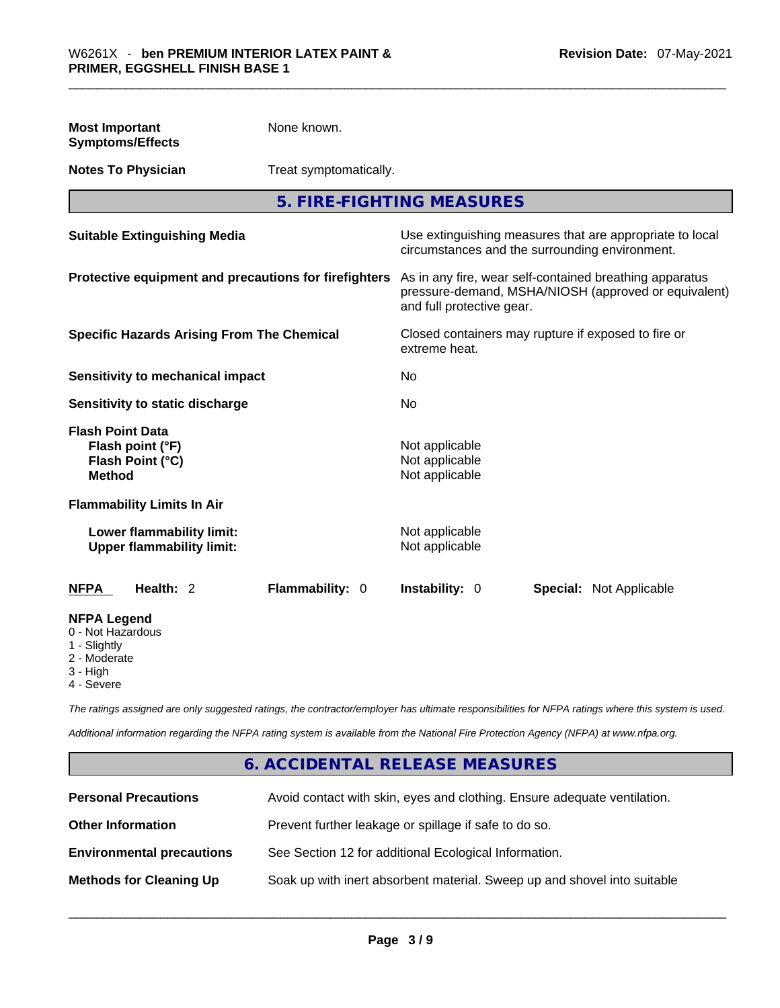| <b>Most Important</b><br><b>Symptoms/Effects</b>                                                  | None known.            |                                                                                                                                              |                                                                                                            |  |
|---------------------------------------------------------------------------------------------------|------------------------|----------------------------------------------------------------------------------------------------------------------------------------------|------------------------------------------------------------------------------------------------------------|--|
| <b>Notes To Physician</b>                                                                         | Treat symptomatically. |                                                                                                                                              |                                                                                                            |  |
|                                                                                                   |                        | 5. FIRE-FIGHTING MEASURES                                                                                                                    |                                                                                                            |  |
| <b>Suitable Extinguishing Media</b>                                                               |                        |                                                                                                                                              | Use extinguishing measures that are appropriate to local<br>circumstances and the surrounding environment. |  |
| Protective equipment and precautions for firefighters                                             |                        | As in any fire, wear self-contained breathing apparatus<br>pressure-demand, MSHA/NIOSH (approved or equivalent)<br>and full protective gear. |                                                                                                            |  |
| <b>Specific Hazards Arising From The Chemical</b>                                                 |                        | extreme heat.                                                                                                                                | Closed containers may rupture if exposed to fire or                                                        |  |
| <b>Sensitivity to mechanical impact</b>                                                           |                        | No                                                                                                                                           |                                                                                                            |  |
| Sensitivity to static discharge                                                                   |                        | No                                                                                                                                           |                                                                                                            |  |
| <b>Flash Point Data</b><br>Flash point (°F)<br>Flash Point (°C)<br><b>Method</b>                  |                        | Not applicable<br>Not applicable<br>Not applicable                                                                                           |                                                                                                            |  |
| <b>Flammability Limits In Air</b>                                                                 |                        |                                                                                                                                              |                                                                                                            |  |
| Lower flammability limit:<br><b>Upper flammability limit:</b>                                     |                        | Not applicable<br>Not applicable                                                                                                             |                                                                                                            |  |
| Health: 2<br><b>NFPA</b>                                                                          | Flammability: 0        | Instability: 0                                                                                                                               | Special: Not Applicable                                                                                    |  |
| <b>NFPA Legend</b><br>0 - Not Hazardous<br>1 - Slightly<br>2 - Moderate<br>3 - High<br>4 - Severe |                        |                                                                                                                                              |                                                                                                            |  |

*The ratings assigned are only suggested ratings, the contractor/employer has ultimate responsibilities for NFPA ratings where this system is used.* 

*Additional information regarding the NFPA rating system is available from the National Fire Protection Agency (NFPA) at www.nfpa.org.* 

# **6. ACCIDENTAL RELEASE MEASURES**

| <b>Personal Precautions</b>      | Avoid contact with skin, eyes and clothing. Ensure adequate ventilation. |
|----------------------------------|--------------------------------------------------------------------------|
| <b>Other Information</b>         | Prevent further leakage or spillage if safe to do so.                    |
| <b>Environmental precautions</b> | See Section 12 for additional Ecological Information.                    |
| <b>Methods for Cleaning Up</b>   | Soak up with inert absorbent material. Sweep up and shovel into suitable |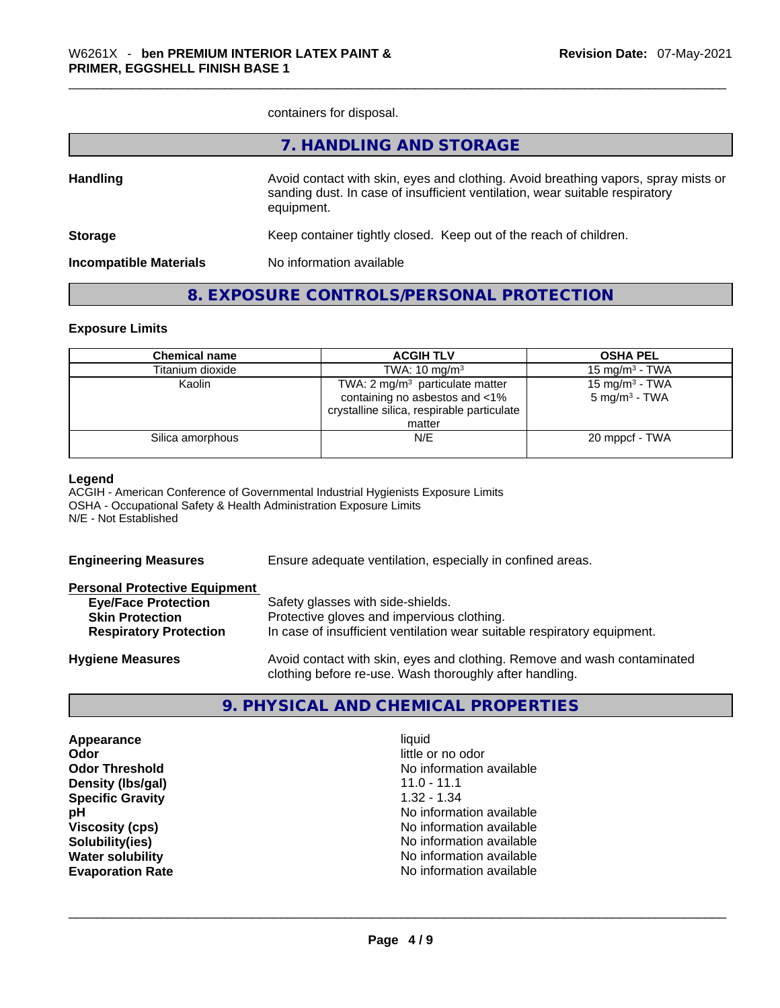containers for disposal.

|                               | 7. HANDLING AND STORAGE                                                                                                                                                          |
|-------------------------------|----------------------------------------------------------------------------------------------------------------------------------------------------------------------------------|
| <b>Handling</b>               | Avoid contact with skin, eyes and clothing. Avoid breathing vapors, spray mists or<br>sanding dust. In case of insufficient ventilation, wear suitable respiratory<br>equipment. |
| <b>Storage</b>                | Keep container tightly closed. Keep out of the reach of children.                                                                                                                |
| <b>Incompatible Materials</b> | No information available                                                                                                                                                         |
|                               |                                                                                                                                                                                  |

## **8. EXPOSURE CONTROLS/PERSONAL PROTECTION**

#### **Exposure Limits**

| <b>Chemical name</b> | <b>ACGIH TLV</b>                           | <b>OSHA PEL</b>            |
|----------------------|--------------------------------------------|----------------------------|
| Titanium dioxide     | TWA: $10 \text{ mg/m}^3$                   | 15 mg/m $3$ - TWA          |
| Kaolin               | TWA: 2 $mg/m3$ particulate matter          | 15 mg/m <sup>3</sup> - TWA |
|                      | containing no asbestos and <1%             | $5 \text{ mg/m}^3$ - TWA   |
|                      | crystalline silica, respirable particulate |                            |
|                      | matter                                     |                            |
| Silica amorphous     | N/E                                        | 20 mppcf - TWA             |
|                      |                                            |                            |

#### **Legend**

ACGIH - American Conference of Governmental Industrial Hygienists Exposure Limits OSHA - Occupational Safety & Health Administration Exposure Limits N/E - Not Established

| <b>Engineering Measures</b>          | Ensure adequate ventilation, especially in confined areas.                                                                          |  |  |
|--------------------------------------|-------------------------------------------------------------------------------------------------------------------------------------|--|--|
| <b>Personal Protective Equipment</b> |                                                                                                                                     |  |  |
| <b>Eye/Face Protection</b>           | Safety glasses with side-shields.                                                                                                   |  |  |
| <b>Skin Protection</b>               | Protective gloves and impervious clothing.                                                                                          |  |  |
| <b>Respiratory Protection</b>        | In case of insufficient ventilation wear suitable respiratory equipment.                                                            |  |  |
| <b>Hygiene Measures</b>              | Avoid contact with skin, eyes and clothing. Remove and wash contaminated<br>clothing before re-use. Wash thoroughly after handling. |  |  |

# **9. PHYSICAL AND CHEMICAL PROPERTIES**

**Appearance** liquid **Odor** little or no odor **Density (Ibs/gal)** 11.0 - 11.1<br> **Specific Gravity** 1.32 - 1.34 **Specific Gravity** 

**Odor Threshold No information available No information available pH pH No** information available **Viscosity (cps) Viscosity (cps) No information available Solubility(ies)** No information available **Water solubility**  No information available **Evaporation Rate** No information available \_\_\_\_\_\_\_\_\_\_\_\_\_\_\_\_\_\_\_\_\_\_\_\_\_\_\_\_\_\_\_\_\_\_\_\_\_\_\_\_\_\_\_\_\_\_\_\_\_\_\_\_\_\_\_\_\_\_\_\_\_\_\_\_\_\_\_\_\_\_\_\_\_\_\_\_\_\_\_\_\_\_\_\_\_\_\_\_\_\_\_\_\_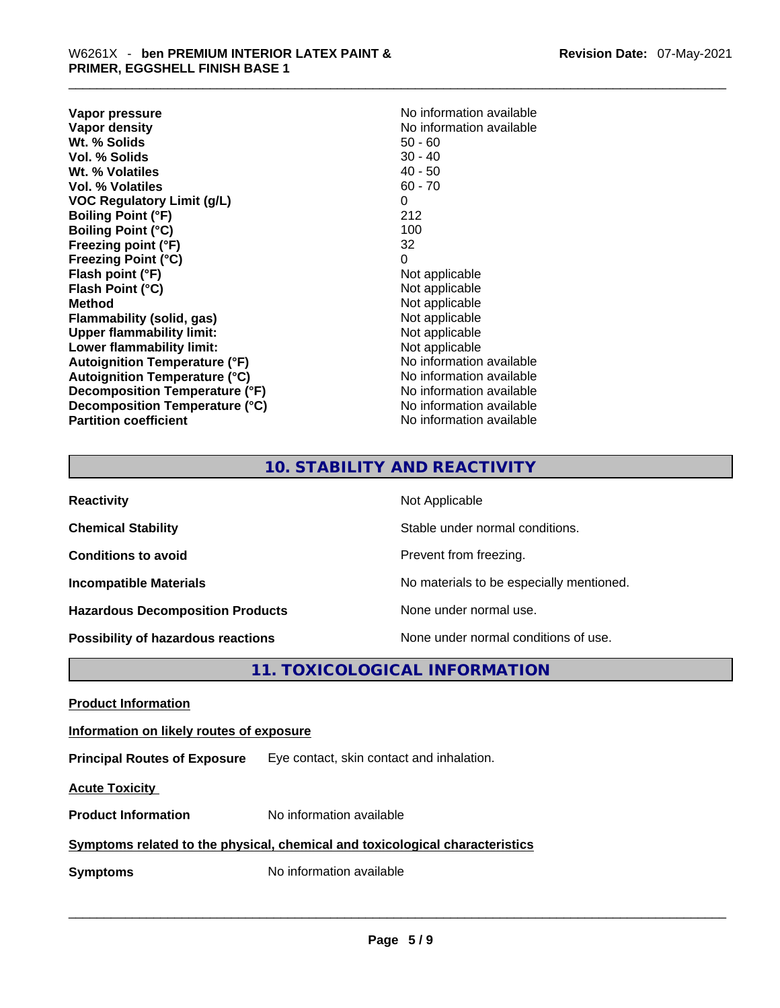**Vapor pressure Vapor pressure No information available Vapor density**<br> **We Solids**<br>
We Solid Wi, % Solids<br>
We Note that the Solid Solid Solid Solid Solid Solid Solid Solid Solid Solid Solid Solid Solid Solid Solid Solid Solid Solid Solid Solid Solid Solid Solid Solid Solid So **Wt. % Solids** 50 - 60<br> **Vol. % Solids** 30 - 40 **Vol. % Solids Wt. % Volatiles** 40 - 50 **Vol. % Volatiles** 60 - 70 **VOC Regulatory Limit (g/L)** 0 **Boiling Point (°F)** 212 **Boiling Point (°C) Freezing point (°F)** 32 **Freezing Point (°C)** 0 **Flash point (°F)** Not applicable **Flash Point (°C)** Not applicable **Method** Not applicable **Flammability (solid, gas)** Not applicable **Upper flammability limit:** Not applicable **Lower flammability limit:** Not applicable **Autoignition Temperature (°F)** No information available **Autoignition Temperature (°C)** No information available **Decomposition Temperature (°F)** No information available **Decomposition Temperature (°C)** No information available **Partition coefficient** No information available

# **10. STABILITY AND REACTIVITY**

| <b>Reactivity</b>                         | Not Applicable                           |
|-------------------------------------------|------------------------------------------|
| <b>Chemical Stability</b>                 | Stable under normal conditions.          |
| <b>Conditions to avoid</b>                | Prevent from freezing.                   |
| <b>Incompatible Materials</b>             | No materials to be especially mentioned. |
| <b>Hazardous Decomposition Products</b>   | None under normal use.                   |
| <b>Possibility of hazardous reactions</b> | None under normal conditions of use.     |

# **11. TOXICOLOGICAL INFORMATION**

**Product Information Information on likely routes of exposure Principal Routes of Exposure** Eye contact, skin contact and inhalation. **Acute Toxicity Product Information** No information available **Symptoms related to the physical, chemical and toxicological characteristics Symptoms** No information available **Notifically and the set of the set of the set of the set of the set of the set of the set of the set of the set of the set of the set of the set of the set of the set of the set of the**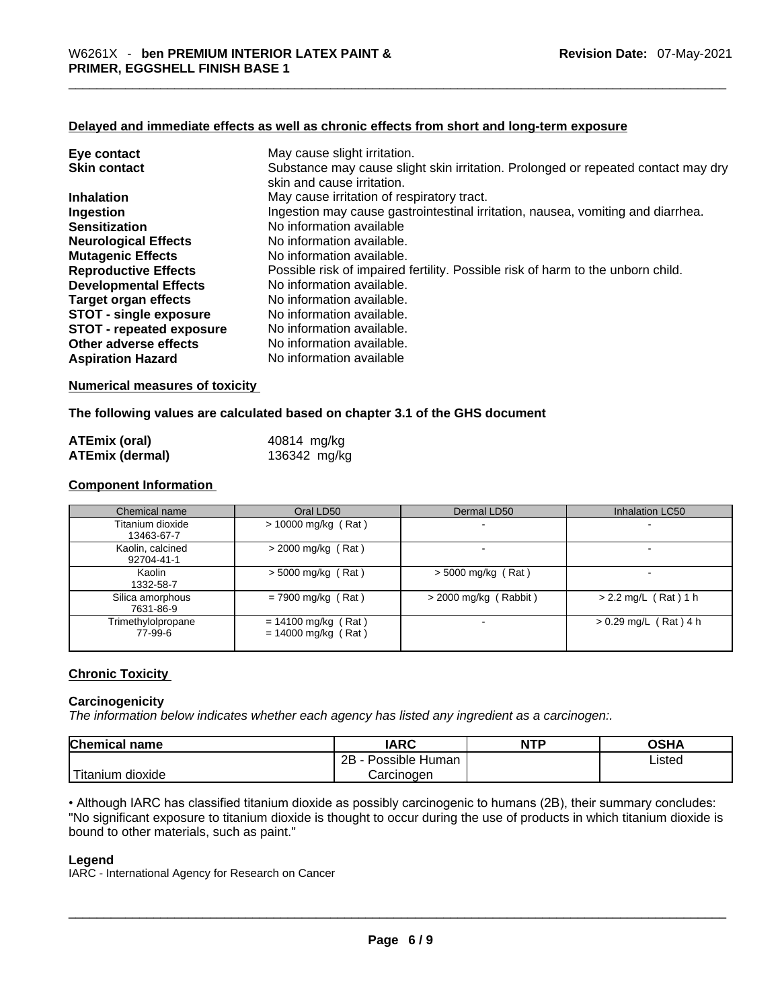#### **Delayed and immediate effects as well as chronic effects from short and long-term exposure**

| Eye contact                     | May cause slight irritation.                                                      |
|---------------------------------|-----------------------------------------------------------------------------------|
| <b>Skin contact</b>             | Substance may cause slight skin irritation. Prolonged or repeated contact may dry |
|                                 | skin and cause irritation.                                                        |
| <b>Inhalation</b>               | May cause irritation of respiratory tract.                                        |
| Ingestion                       | Ingestion may cause gastrointestinal irritation, nausea, vomiting and diarrhea.   |
| <b>Sensitization</b>            | No information available                                                          |
| <b>Neurological Effects</b>     | No information available.                                                         |
| <b>Mutagenic Effects</b>        | No information available.                                                         |
| <b>Reproductive Effects</b>     | Possible risk of impaired fertility. Possible risk of harm to the unborn child.   |
| <b>Developmental Effects</b>    | No information available.                                                         |
| Target organ effects            | No information available.                                                         |
| <b>STOT - single exposure</b>   | No information available.                                                         |
| <b>STOT - repeated exposure</b> | No information available.                                                         |
| Other adverse effects           | No information available.                                                         |
| <b>Aspiration Hazard</b>        | No information available                                                          |

#### **Numerical measures of toxicity**

#### **The following values are calculated based on chapter 3.1 of the GHS document**

| <b>ATEmix (oral)</b>   | 40814 mg/kg  |
|------------------------|--------------|
| <b>ATEmix (dermal)</b> | 136342 mg/kg |

#### **Component Information**

| Chemical name                  | Oral LD50                                      | Dermal LD50              | Inhalation LC50          |
|--------------------------------|------------------------------------------------|--------------------------|--------------------------|
| Titanium dioxide<br>13463-67-7 | $> 10000$ mg/kg (Rat)                          | $\overline{\phantom{a}}$ | $\overline{\phantom{0}}$ |
| Kaolin, calcined<br>92704-41-1 | $>$ 2000 mg/kg (Rat)                           |                          |                          |
| Kaolin<br>1332-58-7            | $> 5000$ mg/kg (Rat)                           | $>$ 5000 mg/kg (Rat)     |                          |
| Silica amorphous<br>7631-86-9  | $= 7900$ mg/kg (Rat)                           | $>$ 2000 mg/kg (Rabbit)  | $> 2.2$ mg/L (Rat) 1 h   |
| Trimethylolpropane<br>77-99-6  | $= 14100$ mg/kg (Rat)<br>$= 14000$ mg/kg (Rat) |                          | $> 0.29$ mg/L (Rat) 4 h  |

#### **Chronic Toxicity**

#### **Carcinogenicity**

*The information below indicates whether each agency has listed any ingredient as a carcinogen:.* 

| <b>Chemical name</b>  | <b>IARC</b>          | <b>NTP</b> | OSHA   |
|-----------------------|----------------------|------------|--------|
|                       | 2B<br>Possible Human |            | Listed |
| Titanium .<br>dioxide | Carcinogen           |            |        |

• Although IARC has classified titanium dioxide as possibly carcinogenic to humans (2B), their summary concludes: "No significant exposure to titanium dioxide is thought to occur during the use of products in which titanium dioxide is bound to other materials, such as paint." \_\_\_\_\_\_\_\_\_\_\_\_\_\_\_\_\_\_\_\_\_\_\_\_\_\_\_\_\_\_\_\_\_\_\_\_\_\_\_\_\_\_\_\_\_\_\_\_\_\_\_\_\_\_\_\_\_\_\_\_\_\_\_\_\_\_\_\_\_\_\_\_\_\_\_\_\_\_\_\_\_\_\_\_\_\_\_\_\_\_\_\_\_

#### **Legend**

IARC - International Agency for Research on Cancer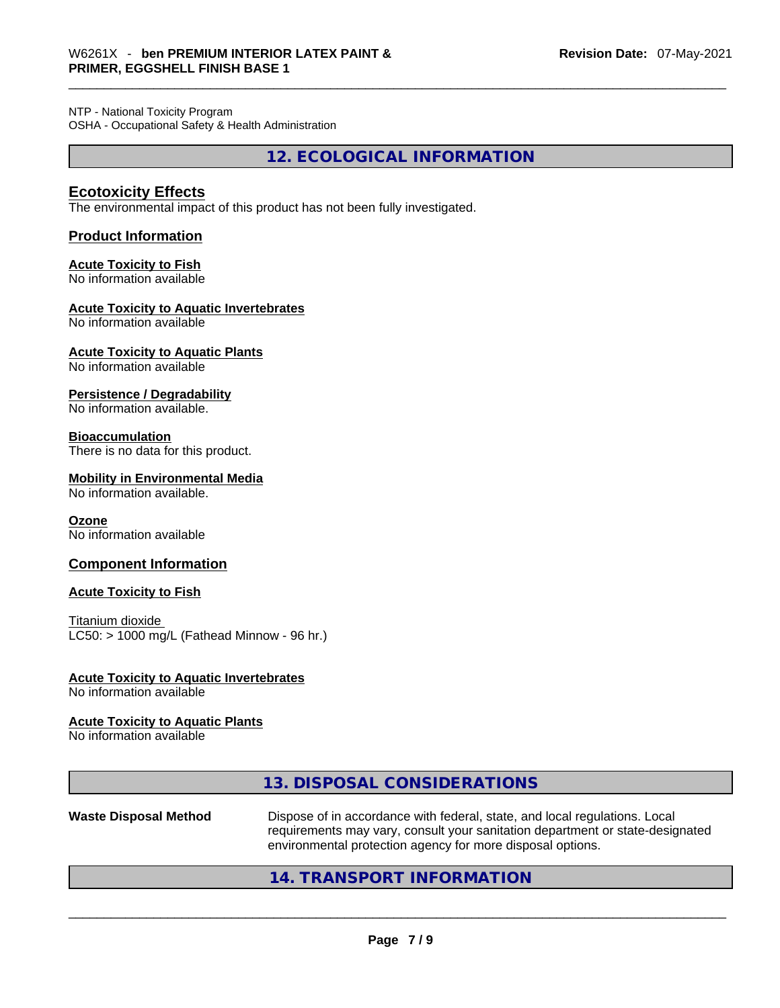NTP - National Toxicity Program OSHA - Occupational Safety & Health Administration

**12. ECOLOGICAL INFORMATION** 

### **Ecotoxicity Effects**

The environmental impact of this product has not been fully investigated.

#### **Product Information**

# **Acute Toxicity to Fish**

No information available

#### **Acute Toxicity to Aquatic Invertebrates**

No information available

**Acute Toxicity to Aquatic Plants**

No information available

#### **Persistence / Degradability**

No information available.

#### **Bioaccumulation**

There is no data for this product.

#### **Mobility in Environmental Media**

No information available.

#### **Ozone**

No information available

#### **Component Information**

#### **Acute Toxicity to Fish**

Titanium dioxide  $LC50:$  > 1000 mg/L (Fathead Minnow - 96 hr.)

#### **Acute Toxicity to Aquatic Invertebrates**

No information available

#### **Acute Toxicity to Aquatic Plants**

No information available

## **13. DISPOSAL CONSIDERATIONS**

**Waste Disposal Method** Dispose of in accordance with federal, state, and local regulations. Local requirements may vary, consult your sanitation department or state-designated environmental protection agency for more disposal options.<br>214. TRANSPORT INFORMATION<br>2006 - Paris Paris Protection and TRANSPORT INFORMATION

## **14. TRANSPORT INFORMATION**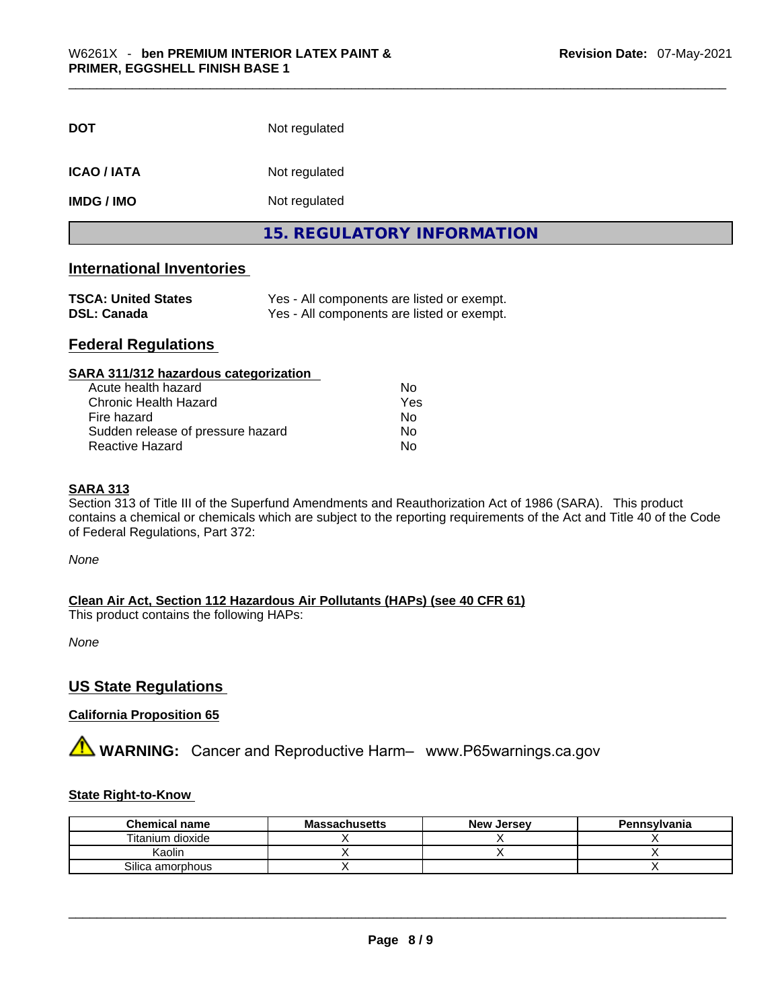| <b>DOT</b>       | Not regulated                     |  |
|------------------|-----------------------------------|--|
| <b>ICAO/IATA</b> | Not regulated                     |  |
| <b>IMDG/IMO</b>  | Not regulated                     |  |
|                  | <b>15. REGULATORY INFORMATION</b> |  |

# **International Inventories**

| <b>TSCA: United States</b> | Yes - All components are listed or exempt. |
|----------------------------|--------------------------------------------|
| <b>DSL: Canada</b>         | Yes - All components are listed or exempt. |

# **Federal Regulations**

| SARA 311/312 hazardous categorization |     |  |
|---------------------------------------|-----|--|
| Acute health hazard                   | Nο  |  |
| Chronic Health Hazard                 | Yes |  |
| Fire hazard                           | No  |  |
| Sudden release of pressure hazard     | Nο  |  |
| <b>Reactive Hazard</b>                | No  |  |

#### **SARA 313**

Section 313 of Title III of the Superfund Amendments and Reauthorization Act of 1986 (SARA). This product contains a chemical or chemicals which are subject to the reporting requirements of the Act and Title 40 of the Code of Federal Regulations, Part 372:

*None*

**Clean Air Act,Section 112 Hazardous Air Pollutants (HAPs) (see 40 CFR 61)**

This product contains the following HAPs:

*None*

#### **US State Regulations**

### **California Proposition 65**

**A** WARNING: Cancer and Reproductive Harm– www.P65warnings.ca.gov

#### **State Right-to-Know**

| <b>Chemical name</b> | <b>Massachusetts</b> | <b>New Jersey</b> | <b>Pennsylvania</b> |
|----------------------|----------------------|-------------------|---------------------|
| Titanium dioxide     |                      |                   |                     |
| Kaolin               |                      |                   |                     |
| Silica amorphous     |                      |                   |                     |